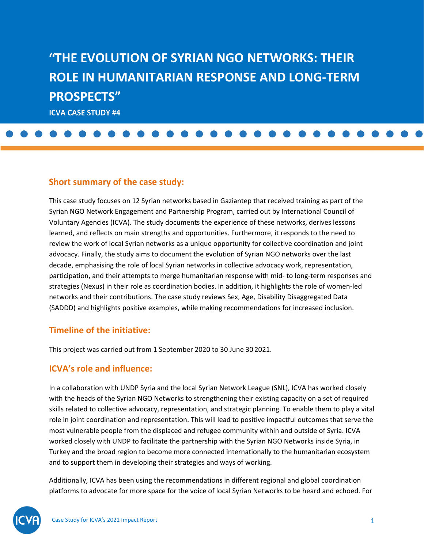# **THE EVOLUTION OF SYRIAN NGO NETWORKS: THEIR ROLE IN HUMANITARIAN RESPONSE AND LONG-TERM PROSPECTS" ICVA CASE STUDY #4**

#### Short summary of the case study:

This case study focuses on 12 Syrian networks based in Gaziantep that received training as part of the Syrian NGO Network Engagement and Partnership Program, carried out by International Council of Voluntary Agencies (ICVA). The study documents the experience of these networks, derives lessons learned, and reflects on main strengths and opportunities. Furthermore, it responds to the need to review the work of local Syrian networks as a unique opportunity for collective coordination and joint advocacy. Finally, the study aims to document the evolution of Syrian NGO networks over the last decade, emphasising the role of local Syrian networks in collective advocacy work, representation, participation, and their attempts to merge humanitarian response with mid- to long-term responses and strategies (Nexus) in their role as coordination bodies. In addition, it highlights the role of women-led networks and their contributions. The case study reviews Sex, Age, Disability Disaggregated Data (SADDD) and highlights positive examples, while making recommendations for increased inclusion.

#### **Timeline of the initiative:**

This project was carried out from 1 September 2020 to 30 June 30 2021.

#### **ICVA's role and influence:**

In a collaboration with UNDP Syria and the local Syrian Network League (SNL), ICVA has worked closely with the heads of the Syrian NGO Networks to strengthening their existing capacity on a set of required skills related to collective advocacy, representation, and strategic planning. To enable them to play a vital role in joint coordination and representation. This will lead to positive impactful outcomes that serve the most vulnerable people from the displaced and refugee community within and outside of Syria. ICVA worked closely with UNDP to facilitate the partnership with the Syrian NGO Networks inside Syria, in Turkey and the broad region to become more connected internationally to the humanitarian ecosystem and to support them in developing their strategies and ways of working.

Additionally, ICVA has been using the recommendations in different regional and global coordination platforms to advocate for more space for the voice of local Syrian Networks to be heard and echoed. For

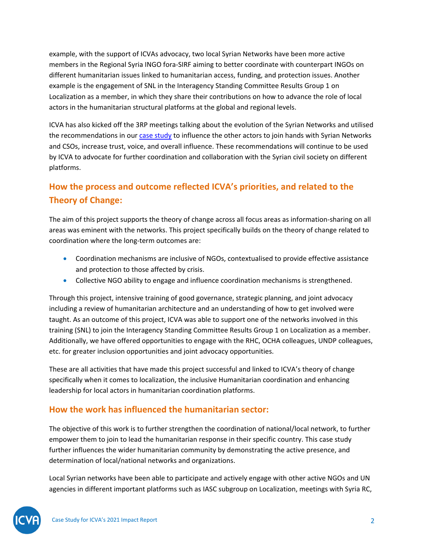example, with the support of ICVAs advocacy, two local Syrian Networks have been more active members in the Regional Syria INGO fora-SIRF aiming to better coordinate with counterpart INGOs on different humanitarian issues linked to humanitarian access, funding, and protection issues. Another example is the engagement of SNL in the Interagency Standing Committee Results Group 1 on Localization as a member, in which they share their contributions on how to advance the role of local actors in the humanitarian structural platforms at the global and regional levels.

ICVA has also kicked off the 3RP meetings talking about the evolution of the Syrian Networks and utilised the recommendations in our [case study](https://www.icvanetwork.org/resource/the-evolution-of-syrian-ngo-networks-their-role-in-humanitarian-response-and-long-term-prospects/) to influence the other actors to join hands with Syrian Networks and CSOs, increase trust, voice, and overall influence. These recommendations will continue to be used by ICVA to advocate for further coordination and collaboration with the Syrian civil society on different platforms.

# **How the process and outcome reflected ICVA's priorities, and related to the Theory of Change:**

The aim of this project supports the theory of change across all focus areas as information-sharing on all areas was eminent with the networks. This project specifically builds on the theory of change related to coordination where the long-term outcomes are:

- Coordination mechanisms are inclusive of NGOs, contextualised to provide effective assistance and protection to those affected by crisis.
- Collective NGO ability to engage and influence coordination mechanisms is strengthened.

Through this project, intensive training of good governance, strategic planning, and joint advocacy including a review of humanitarian architecture and an understanding of how to get involved were taught. As an outcome of this project, ICVA was able to support one of the networks involved in this training (SNL) to join the Interagency Standing Committee Results Group 1 on Localization as a member. Additionally, we have offered opportunities to engage with the RHC, OCHA colleagues, UNDP colleagues, etc. for greater inclusion opportunities and joint advocacy opportunities.

These are all activities that have made this project successful and linked to ICVA's theory of change specifically when it comes to localization, the inclusive Humanitarian coordination and enhancing leadership for local actors in humanitarian coordination platforms.

# **How the work has influenced the humanitarian sector:**

The objective of this work is to further strengthen the coordination of national/local network, to further empower them to join to lead the humanitarian response in their specific country. This case study further influences the wider humanitarian community by demonstrating the active presence, and determination of local/national networks and organizations.

Local Syrian networks have been able to participate and actively engage with other active NGOs and UN agencies in different important platforms such as IASC subgroup on Localization, meetings with Syria RC,

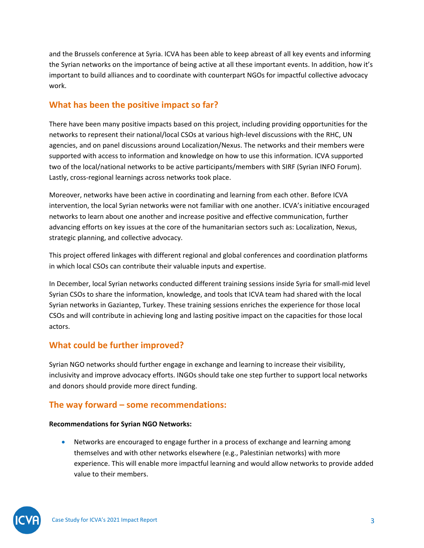and the Brussels conference at Syria. ICVA has been able to keep abreast of all key events and informing the Syrian networks on the importance of being active at all these important events. In addition, how it's important to build alliances and to coordinate with counterpart NGOs for impactful collective advocacy work.

### **What has been the positive impact so far?**

There have been many positive impacts based on this project, including providing opportunities for the networks to represent their national/local CSOs at various high-level discussions with the RHC, UN agencies, and on panel discussions around Localization/Nexus. The networks and their members were supported with access to information and knowledge on how to use this information. ICVA supported two of the local/national networks to be active participants/members with SIRF (Syrian INFO Forum). Lastly, cross-regional learnings across networks took place.

Moreover, networks have been active in coordinating and learning from each other. Before ICVA intervention, the local Syrian networks were not familiar with one another. ICVA's initiative encouraged networks to learn about one another and increase positive and effective communication, further advancing efforts on key issues at the core of the humanitarian sectors such as: Localization, Nexus, strategic planning, and collective advocacy.

This project offered linkages with different regional and global conferences and coordination platforms in which local CSOs can contribute their valuable inputs and expertise.

In December, local Syrian networks conducted different training sessions inside Syria for small-mid level Syrian CSOs to share the information, knowledge, and tools that ICVA team had shared with the local Syrian networks in Gaziantep, Turkey. These training sessions enriches the experience for those local CSOs and will contribute in achieving long and lasting positive impact on the capacities for those local actors.

# **What could be further improved?**

Syrian NGO networks should further engage in exchange and learning to increase their visibility, inclusivity and improve advocacy efforts. INGOs should take one step further to support local networks and donors should provide more direct funding.

# **The way forward – some recommendations:**

#### **Recommendations for Syrian NGO Networks:**

• Networks are encouraged to engage further in a process of exchange and learning among themselves and with other networks elsewhere (e.g., Palestinian networks) with more experience. This will enable more impactful learning and would allow networks to provide added value to their members.

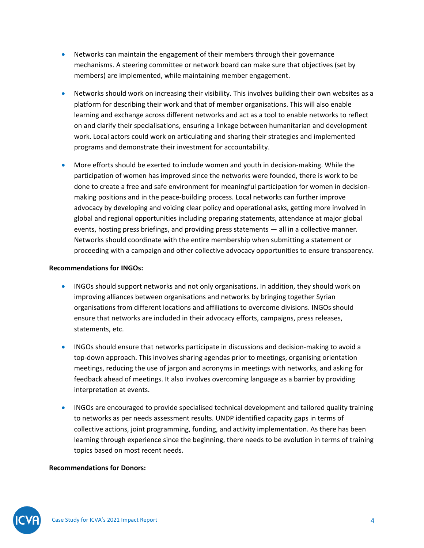- Networks can maintain the engagement of their members through their governance mechanisms. A steering committee or network board can make sure that objectives (set by members) are implemented, while maintaining member engagement.
- Networks should work on increasing their visibility. This involves building their own websites as a platform for describing their work and that of member organisations. This will also enable learning and exchange across different networks and act as a tool to enable networks to reflect on and clarify their specialisations, ensuring a linkage between humanitarian and development work. Local actors could work on articulating and sharing their strategies and implemented programs and demonstrate their investment for accountability.
- More efforts should be exerted to include women and youth in decision-making. While the participation of women has improved since the networks were founded, there is work to be done to create a free and safe environment for meaningful participation for women in decisionmaking positions and in the peace-building process. Local networks can further improve advocacy by developing and voicing clear policy and operational asks, getting more involved in global and regional opportunities including preparing statements, attendance at major global events, hosting press briefings, and providing press statements — all in a collective manner. Networks should coordinate with the entire membership when submitting a statement or proceeding with a campaign and other collective advocacy opportunities to ensure transparency.

#### **Recommendations for INGOs:**

- INGOs should support networks and not only organisations. In addition, they should work on improving alliances between organisations and networks by bringing together Syrian organisations from different locations and affiliations to overcome divisions. INGOs should ensure that networks are included in their advocacy efforts, campaigns, press releases, statements, etc.
- INGOs should ensure that networks participate in discussions and decision-making to avoid a top-down approach. This involves sharing agendas prior to meetings, organising orientation meetings, reducing the use of jargon and acronyms in meetings with networks, and asking for feedback ahead of meetings. It also involves overcoming language as a barrier by providing interpretation at events.
- INGOs are encouraged to provide specialised technical development and tailored quality training to networks as per needs assessment results. UNDP identified capacity gaps in terms of collective actions, joint programming, funding, and activity implementation. As there has been learning through experience since the beginning, there needs to be evolution in terms of training topics based on most recent needs.

#### **Recommendations for Donors:**